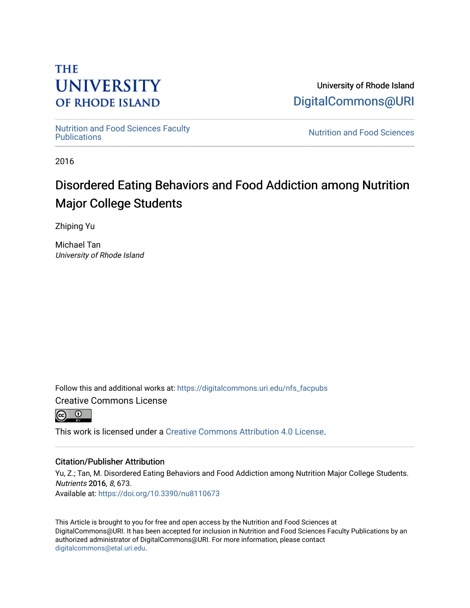# **THE UNIVERSITY OF RHODE ISLAND**

University of Rhode Island [DigitalCommons@URI](https://digitalcommons.uri.edu/) 

[Nutrition and Food Sciences Faculty](https://digitalcommons.uri.edu/nfs_facpubs) 

**Nutrition and Food Sciences** 

2016

# Disordered Eating Behaviors and Food Addiction among Nutrition Major College Students

Zhiping Yu

Michael Tan University of Rhode Island

Follow this and additional works at: [https://digitalcommons.uri.edu/nfs\\_facpubs](https://digitalcommons.uri.edu/nfs_facpubs?utm_source=digitalcommons.uri.edu%2Fnfs_facpubs%2F38&utm_medium=PDF&utm_campaign=PDFCoverPages)

Creative Commons License



This work is licensed under a [Creative Commons Attribution 4.0 License](https://creativecommons.org/licenses/by/4.0/).

# Citation/Publisher Attribution

Yu, Z.; Tan, M. Disordered Eating Behaviors and Food Addiction among Nutrition Major College Students. Nutrients 2016, 8, 673. Available at:<https://doi.org/10.3390/nu8110673>

This Article is brought to you for free and open access by the Nutrition and Food Sciences at DigitalCommons@URI. It has been accepted for inclusion in Nutrition and Food Sciences Faculty Publications by an authorized administrator of DigitalCommons@URI. For more information, please contact [digitalcommons@etal.uri.edu](mailto:digitalcommons@etal.uri.edu).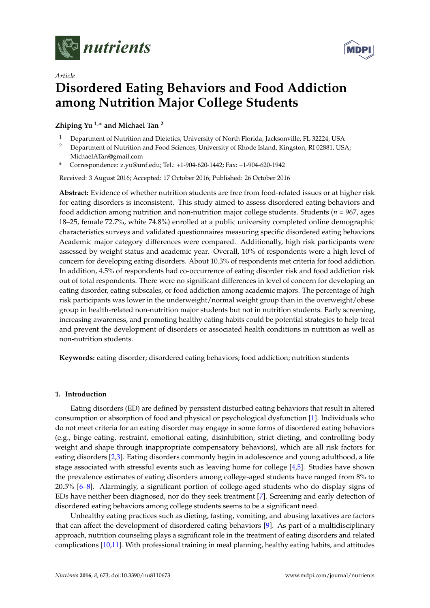

*Article*



# **Disordered Eating Behaviors and Food Addiction among Nutrition Major College Students**

**Zhiping Yu 1,\* and Michael Tan <sup>2</sup>**

- <sup>1</sup> Department of Nutrition and Dietetics, University of North Florida, Jacksonville, FL 32224, USA<br><sup>2</sup> Department of Nutrition and Food Sciences, University of Phode Johnd, Kingston, PL02831, US
- <sup>2</sup> Department of Nutrition and Food Sciences, University of Rhode Island, Kingston, RI 02881, USA; MichaelATan@gmail.com
- **\*** Correspondence: z.yu@unf.edu; Tel.: +1-904-620-1442; Fax: +1-904-620-1942

Received: 3 August 2016; Accepted: 17 October 2016; Published: 26 October 2016

**Abstract:** Evidence of whether nutrition students are free from food-related issues or at higher risk for eating disorders is inconsistent. This study aimed to assess disordered eating behaviors and food addiction among nutrition and non-nutrition major college students. Students (*n* = 967, ages 18–25, female 72.7%, white 74.8%) enrolled at a public university completed online demographic characteristics surveys and validated questionnaires measuring specific disordered eating behaviors. Academic major category differences were compared. Additionally, high risk participants were assessed by weight status and academic year. Overall, 10% of respondents were a high level of concern for developing eating disorders. About 10.3% of respondents met criteria for food addiction. In addition, 4.5% of respondents had co-occurrence of eating disorder risk and food addiction risk out of total respondents. There were no significant differences in level of concern for developing an eating disorder, eating subscales, or food addiction among academic majors. The percentage of high risk participants was lower in the underweight/normal weight group than in the overweight/obese group in health-related non-nutrition major students but not in nutrition students. Early screening, increasing awareness, and promoting healthy eating habits could be potential strategies to help treat and prevent the development of disorders or associated health conditions in nutrition as well as non-nutrition students.

**Keywords:** eating disorder; disordered eating behaviors; food addiction; nutrition students

#### **1. Introduction**

Eating disorders (ED) are defined by persistent disturbed eating behaviors that result in altered consumption or absorption of food and physical or psychological dysfunction [\[1\]](#page-14-0). Individuals who do not meet criteria for an eating disorder may engage in some forms of disordered eating behaviors (e.g., binge eating, restraint, emotional eating, disinhibition, strict dieting, and controlling body weight and shape through inappropriate compensatory behaviors), which are all risk factors for eating disorders [\[2,](#page-14-1)[3\]](#page-14-2). Eating disorders commonly begin in adolescence and young adulthood, a life stage associated with stressful events such as leaving home for college [\[4,](#page-14-3)[5\]](#page-14-4). Studies have shown the prevalence estimates of eating disorders among college-aged students have ranged from 8% to 20.5% [\[6–](#page-14-5)[8\]](#page-14-6). Alarmingly, a significant portion of college-aged students who do display signs of EDs have neither been diagnosed, nor do they seek treatment [\[7\]](#page-14-7). Screening and early detection of disordered eating behaviors among college students seems to be a significant need.

Unhealthy eating practices such as dieting, fasting, vomiting, and abusing laxatives are factors that can affect the development of disordered eating behaviors [\[9\]](#page-14-8). As part of a multidisciplinary approach, nutrition counseling plays a significant role in the treatment of eating disorders and related complications [\[10](#page-14-9)[,11\]](#page-14-10). With professional training in meal planning, healthy eating habits, and attitudes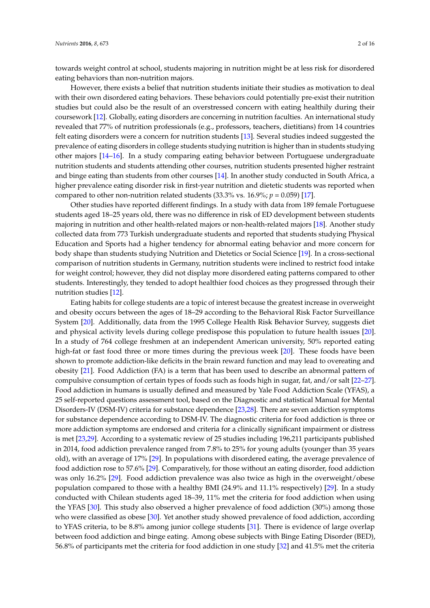towards weight control at school, students majoring in nutrition might be at less risk for disordered eating behaviors than non-nutrition majors.

However, there exists a belief that nutrition students initiate their studies as motivation to deal with their own disordered eating behaviors. These behaviors could potentially pre-exist their nutrition studies but could also be the result of an overstressed concern with eating healthily during their coursework [\[12\]](#page-14-11). Globally, eating disorders are concerning in nutrition faculties. An international study revealed that 77% of nutrition professionals (e.g., professors, teachers, dietitians) from 14 countries felt eating disorders were a concern for nutrition students [\[13\]](#page-14-12). Several studies indeed suggested the prevalence of eating disorders in college students studying nutrition is higher than in students studying other majors [\[14–](#page-14-13)[16\]](#page-14-14). In a study comparing eating behavior between Portuguese undergraduate nutrition students and students attending other courses, nutrition students presented higher restraint and binge eating than students from other courses [\[14\]](#page-14-13). In another study conducted in South Africa, a higher prevalence eating disorder risk in first-year nutrition and dietetic students was reported when compared to other non-nutrition related students  $(33.3\% \text{ vs. } 16.9\%; p = 0.059)$  [\[17\]](#page-14-15).

Other studies have reported different findings. In a study with data from 189 female Portuguese students aged 18–25 years old, there was no difference in risk of ED development between students majoring in nutrition and other health-related majors or non-health-related majors [\[18\]](#page-14-16). Another study collected data from 773 Turkish undergraduate students and reported that students studying Physical Education and Sports had a higher tendency for abnormal eating behavior and more concern for body shape than students studying Nutrition and Dietetics or Social Science [\[19\]](#page-14-17). In a cross-sectional comparison of nutrition students in Germany, nutrition students were inclined to restrict food intake for weight control; however, they did not display more disordered eating patterns compared to other students. Interestingly, they tended to adopt healthier food choices as they progressed through their nutrition studies [\[12\]](#page-14-11).

Eating habits for college students are a topic of interest because the greatest increase in overweight and obesity occurs between the ages of 18–29 according to the Behavioral Risk Factor Surveillance System [\[20\]](#page-14-18). Additionally, data from the 1995 College Health Risk Behavior Survey, suggests diet and physical activity levels during college predispose this population to future health issues [\[20\]](#page-14-18). In a study of 764 college freshmen at an independent American university, 50% reported eating high-fat or fast food three or more times during the previous week [\[20\]](#page-14-18). These foods have been shown to promote addiction-like deficits in the brain reward function and may lead to overeating and obesity [\[21\]](#page-14-19). Food Addiction (FA) is a term that has been used to describe an abnormal pattern of compulsive consumption of certain types of foods such as foods high in sugar, fat, and/or salt [\[22–](#page-14-20)[27\]](#page-15-0). Food addiction in humans is usually defined and measured by Yale Food Addiction Scale (YFAS), a 25 self-reported questions assessment tool, based on the Diagnostic and statistical Manual for Mental Disorders-IV (DSM-IV) criteria for substance dependence [\[23,](#page-15-1)[28\]](#page-15-2). There are seven addiction symptoms for substance dependence according to DSM-IV. The diagnostic criteria for food addiction is three or more addiction symptoms are endorsed and criteria for a clinically significant impairment or distress is met [\[23,](#page-15-1)[29\]](#page-15-3). According to a systematic review of 25 studies including 196,211 participants published in 2014, food addiction prevalence ranged from 7.8% to 25% for young adults (younger than 35 years old), with an average of 17% [\[29\]](#page-15-3). In populations with disordered eating, the average prevalence of food addiction rose to 57.6% [\[29\]](#page-15-3). Comparatively, for those without an eating disorder, food addiction was only 16.2% [\[29\]](#page-15-3). Food addiction prevalence was also twice as high in the overweight/obese population compared to those with a healthy BMI (24.9% and 11.1% respectively) [\[29\]](#page-15-3). In a study conducted with Chilean students aged 18–39, 11% met the criteria for food addiction when using the YFAS [\[30\]](#page-15-4). This study also observed a higher prevalence of food addiction (30%) among those who were classified as obese [\[30\]](#page-15-4). Yet another study showed prevalence of food addiction, according to YFAS criteria, to be 8.8% among junior college students [\[31\]](#page-15-5). There is evidence of large overlap between food addiction and binge eating. Among obese subjects with Binge Eating Disorder (BED), 56.8% of participants met the criteria for food addiction in one study [\[32\]](#page-15-6) and 41.5% met the criteria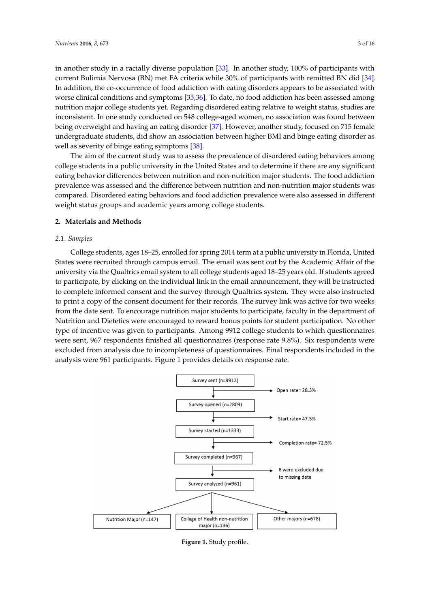in another study in a racially diverse population [\[33\]](#page-15-7). In another study, 100% of participants with current Bulimia Nervosa (BN) met FA criteria while 30% of participants with remitted BN did [\[34\]](#page-15-8). In addition, the co-occurrence of food addiction with eating disorders appears to be associated with worse clinical conditions and symptoms [\[35,](#page-15-9)[36\]](#page-15-10). To date, no food addiction has been assessed among nutrition major college students yet. Regarding disordered eating relative to weight status, studies are inconsistent. In one study conducted on 548 college-aged women, no association was found between being overweight and having an eating disorder [\[37\]](#page-15-11). However, another study, focused on 715 female undergraduate students, did show an association between higher BMI and binge eating disorder as well as severity of binge eating symptoms [\[38\]](#page-15-12). we status, status, studies are inconsistent. In one study conducted on  $\beta$ 

as severity of single earing by inplomistics. college students in a public university in the United States and to determine if there are any significant eating behavior differences between nutrition and non-nutrition major students. The food addiction prevalence was assessed and the difference between nutrition and non-nutrition major students was compared. Disordered eating behaviors and food addiction prevalence were also assessed in different weight status groups and academic years among college students. The ann of the current study, was to assess the prevalence or disordered eating behaviors and

### **2. Materials and Methods** and academic years and academic years and academic years and academic years and according to  $\mathbf{z}$  and  $\mathbf{z}$  and  $\mathbf{z}$  and  $\mathbf{z}$  and  $\mathbf{z}$  and  $\mathbf{z}$  and  $\mathbf{z}$  and  $\mathbf{z}$  an

### **2.1. Samples**

College students, ages 18–25, enrolled for spring 2014 term at a public university in Florida, United *2.1. Samples* States were recruited through campus email. The email was sent out by the Academic Affair of the university via the Qualtrics email system to all college students aged 18–25 years old. If students agreed to participate, by clicking on the individual link in the email announcement, they will be instructed to complete informed consent and the survey through Qualtrics system. They were also instructed to print a copy of the consent document for their records. The survey link was active for two weeks from the date sent. To encourage nutrition major students to participate, faculty in the department of Nutrition and Dietetics were encouraged to reward bonus points for student participation. No other type of incentive was given to participants. Among 9912 college students to which questionnaires were sent, 967 respondents finished all questionnaires (response rate 9.8%). Six respondents were excluded from analysis due to incompleteness of questionnaires. Final respondents included in the analysis were 96[1](#page-3-0) participants. Figure 1 provides details on response rate. and romanalysis due to incomplements of questionnaires. Final respondents included in

<span id="page-3-0"></span>

**Figure 1.** Study profile.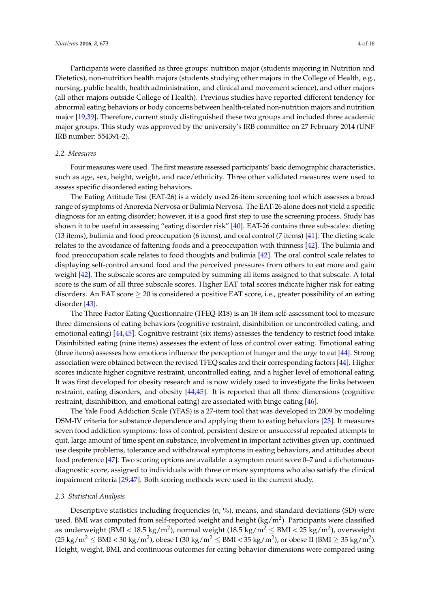Participants were classified as three groups: nutrition major (students majoring in Nutrition and Dietetics), non-nutrition health majors (students studying other majors in the College of Health, e.g., nursing, public health, health administration, and clinical and movement science), and other majors (all other majors outside College of Health). Previous studies have reported different tendency for abnormal eating behaviors or body concerns between health-related non-nutrition majors and nutrition major [\[19](#page-14-17)[,39\]](#page-15-13). Therefore, current study distinguished these two groups and included three academic major groups. This study was approved by the university's IRB committee on 27 February 2014 (UNF IRB number: 554391-2).

#### *2.2. Measures*

Four measures were used. The first measure assessed participants' basic demographic characteristics, such as age, sex, height, weight, and race/ethnicity. Three other validated measures were used to assess specific disordered eating behaviors.

The Eating Attitude Test (EAT-26) is a widely used 26-item screening tool which assesses a broad range of symptoms of Anorexia Nervosa or Bulimia Nervosa. The EAT-26 alone does not yield a specific diagnosis for an eating disorder; however, it is a good first step to use the screening process. Study has shown it to be useful in assessing "eating disorder risk" [\[40\]](#page-15-14). EAT-26 contains three sub-scales: dieting (13 items), bulimia and food preoccupation (6 items), and oral control (7 items) [\[41\]](#page-15-15). The dieting scale relates to the avoidance of fattening foods and a preoccupation with thinness [\[42\]](#page-15-16). The bulimia and food preoccupation scale relates to food thoughts and bulimia [\[42\]](#page-15-16). The oral control scale relates to displaying self-control around food and the perceived pressures from others to eat more and gain weight [\[42\]](#page-15-16). The subscale scores are computed by summing all items assigned to that subscale. A total score is the sum of all three subscale scores. Higher EAT total scores indicate higher risk for eating disorders. An EAT score  $\geq 20$  is considered a positive EAT score, i.e., greater possibility of an eating disorder [\[43\]](#page-15-17).

The Three Factor Eating Questionnaire (TFEQ-R18) is an 18 item self-assessment tool to measure three dimensions of eating behaviors (cognitive restraint, disinhibition or uncontrolled eating, and emotional eating) [\[44,](#page-15-18)[45\]](#page-16-0). Cognitive restraint (six items) assesses the tendency to restrict food intake. Disinhibited eating (nine items) assesses the extent of loss of control over eating. Emotional eating (three items) assesses how emotions influence the perception of hunger and the urge to eat [\[44\]](#page-15-18). Strong association were obtained between the revised TFEQ scales and their corresponding factors [\[44\]](#page-15-18). Higher scores indicate higher cognitive restraint, uncontrolled eating, and a higher level of emotional eating. It was first developed for obesity research and is now widely used to investigate the links between restraint, eating disorders, and obesity [\[44,](#page-15-18)[45\]](#page-16-0). It is reported that all three dimensions (cognitive restraint, disinhibition, and emotional eating) are associated with binge eating [\[46\]](#page-16-1).

The Yale Food Addiction Scale (YFAS) is a 27-item tool that was developed in 2009 by modeling DSM-IV criteria for substance dependence and applying them to eating behaviors [\[23\]](#page-15-1). It measures seven food addiction symptoms: loss of control, persistent desire or unsuccessful repeated attempts to quit, large amount of time spent on substance, involvement in important activities given up, continued use despite problems, tolerance and withdrawal symptoms in eating behaviors, and attitudes about food preference [\[47\]](#page-16-2). Two scoring options are available: a symptom count score 0–7 and a dichotomous diagnostic score, assigned to individuals with three or more symptoms who also satisfy the clinical impairment criteria [\[29](#page-15-3)[,47\]](#page-16-2). Both scoring methods were used in the current study.

#### *2.3. Statistical Analysis*

Descriptive statistics including frequencies (n; %), means, and standard deviations (SD) were used. BMI was computed from self-reported weight and height (kg/m<sup>2</sup>). Participants were classified as underweight (BMI < 18.5 kg/m $^2$ ), normal weight (18.5 kg/m $^2 \leq \text{BMI} < 25$  kg/m $^2$ ), overweight (25 kg/m $^2$   $\leq$  BMI  $<$  30 kg/m $^2$ ), obese I (30 kg/m $^2$   $\leq$  BMI  $<$  35 kg/m $^2$ ), or obese II (BMI  $\geq$  35 kg/m $^2$ ). Height, weight, BMI, and continuous outcomes for eating behavior dimensions were compared using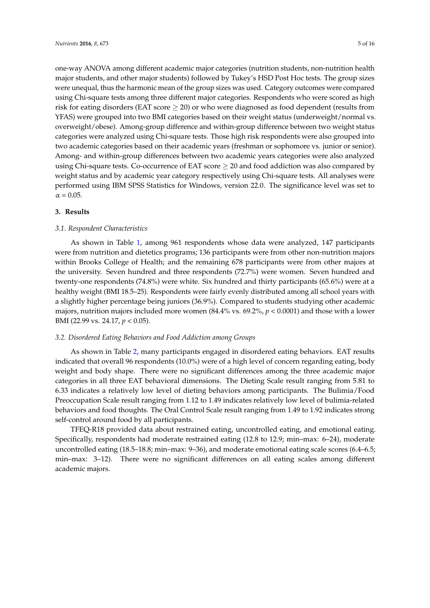one-way ANOVA among different academic major categories (nutrition students, non-nutrition health major students, and other major students) followed by Tukey's HSD Post Hoc tests. The group sizes were unequal, thus the harmonic mean of the group sizes was used. Category outcomes were compared using Chi-square tests among three different major categories. Respondents who were scored as high risk for eating disorders (EAT score  $\geq$  20) or who were diagnosed as food dependent (results from YFAS) were grouped into two BMI categories based on their weight status (underweight/normal vs. overweight/obese). Among-group difference and within-group difference between two weight status categories were analyzed using Chi-square tests. Those high risk respondents were also grouped into two academic categories based on their academic years (freshman or sophomore vs. junior or senior). Among- and within-group differences between two academic years categories were also analyzed using Chi-square tests. Co-occurrence of EAT score  $\geq 20$  and food addiction was also compared by weight status and by academic year category respectively using Chi-square tests. All analyses were performed using IBM SPSS Statistics for Windows, version 22.0. The significance level was set to  $\alpha = 0.05$ .

#### **3. Results**

#### *3.1. Respondent Characteristics*

As shown in Table [1,](#page-6-0) among 961 respondents whose data were analyzed, 147 participants were from nutrition and dietetics programs; 136 participants were from other non-nutrition majors within Brooks College of Health; and the remaining 678 participants were from other majors at the university. Seven hundred and three respondents (72.7%) were women. Seven hundred and twenty-one respondents (74.8%) were white. Six hundred and thirty participants (65.6%) were at a healthy weight (BMI 18.5–25). Respondents were fairly evenly distributed among all school years with a slightly higher percentage being juniors (36.9%). Compared to students studying other academic majors, nutrition majors included more women (84.4% vs. 69.2%, *p* < 0.0001) and those with a lower BMI (22.99 vs. 24.17, *p* < 0.05).

#### *3.2. Disordered Eating Behaviors and Food Addiction among Groups*

As shown in Table [2,](#page-7-0) many participants engaged in disordered eating behaviors. EAT results indicated that overall 96 respondents (10.0%) were of a high level of concern regarding eating, body weight and body shape. There were no significant differences among the three academic major categories in all three EAT behavioral dimensions. The Dieting Scale result ranging from 5.81 to 6.33 indicates a relatively low level of dieting behaviors among participants. The Bulimia/Food Preoccupation Scale result ranging from 1.12 to 1.49 indicates relatively low level of bulimia-related behaviors and food thoughts. The Oral Control Scale result ranging from 1.49 to 1.92 indicates strong self-control around food by all participants.

TFEQ-R18 provided data about restrained eating, uncontrolled eating, and emotional eating. Specifically, respondents had moderate restrained eating (12.8 to 12.9; min–max: 6–24), moderate uncontrolled eating (18.5–18.8; min–max: 9–36), and moderate emotional eating scale scores (6.4–6.5; min–max: 3–12). There were no significant differences on all eating scales among different academic majors.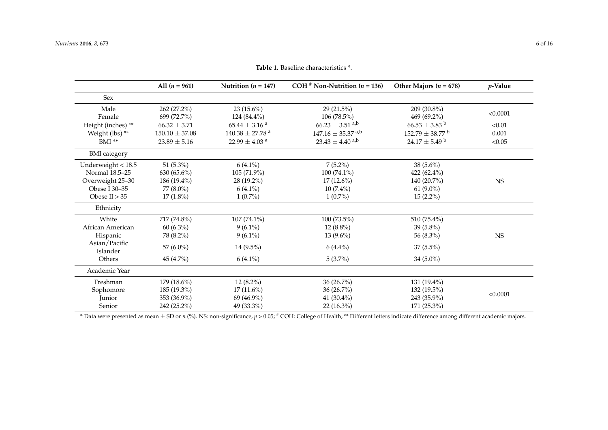|                           | All $(n = 961)$            | Nutrition ( $n = 147$ )         | COH <sup>#</sup> Non-Nutrition ( $n = 136$ ) | Other Majors ( $n = 678$ )      | $p$ -Value |
|---------------------------|----------------------------|---------------------------------|----------------------------------------------|---------------------------------|------------|
| Sex                       |                            |                                 |                                              |                                 |            |
| Male<br>Female            | 262 (27.2%)<br>699 (72.7%) | 23 $(15.6\%)$<br>124 (84.4%)    | 29 (21.5%)<br>$106(78.5\%)$                  | 209 (30.8%)<br>469 (69.2%)      | < 0.0001   |
| Height (inches) **        | $66.32 \pm 3.71$           | $65.44\pm3.16$ a                | $66.23 \pm 3.51$ <sup>a,b</sup>              | $66.53 \pm 3.83$ <sup>b</sup>   | < 0.01     |
| Weight (lbs) **           | $150.10 \pm 37.08$         | $140.38 \pm 27.78$ <sup>a</sup> | $147.16 \pm 35.37$ <sup>a,b</sup>            | $152.79 \pm 38.77$ <sup>b</sup> | 0.001      |
| $BMI$ **                  | $23.89 \pm 5.16$           | 22.99 $\pm$ 4.03 <sup>a</sup>   | $23.43 \pm 4.40$ <sup>a,b</sup>              | $24.17 \pm 5.49$ b              | < 0.05     |
| <b>BMI</b> category       |                            |                                 |                                              |                                 |            |
| Underweight $<$ 18.5      | 51 $(5.3\%)$               | $6(4.1\%)$                      | $7(5.2\%)$                                   | 38 (5.6%)                       |            |
| Normal 18.5-25            | $630(65.6\%)$              | 105 (71.9%)                     | $100(74.1\%)$                                | 422 $(62.4\%)$                  |            |
| Overweight 25-30          | 186 (19.4%)                | 28 (19.2%)                      | $17(12.6\%)$                                 | 140 (20.7%)                     | <b>NS</b>  |
| Obese I 30-35             | 77 (8.0%)                  | $6(4.1\%)$                      | $10(7.4\%)$                                  | $61 (9.0\%)$                    |            |
| Obese II $> 35$           | $17(1.8\%)$                | $1(0.7\%)$                      | $1(0.7\%)$                                   | $15(2.2\%)$                     |            |
| Ethnicity                 |                            |                                 |                                              |                                 |            |
| White                     | 717 (74.8%)                | $107(74.1\%)$                   | 100 (73.5%)                                  | 510 (75.4%)                     |            |
| African American          | $60(6.3\%)$                | $9(6.1\%)$                      | $12(8.8\%)$                                  | $39(5.8\%)$                     |            |
| Hispanic                  | 78 (8.2%)                  | $9(6.1\%)$                      | $13(9.6\%)$                                  | 56 (8.3%)                       | <b>NS</b>  |
| Asian/Pacific<br>Islander | 57 (6.0%)                  | 14 (9.5%)                       | $6(4.4\%)$                                   | $37(5.5\%)$                     |            |
| Others                    | 45 (4.7%)                  | $6(4.1\%)$                      | $5(3.7\%)$                                   | 34 $(5.0\%)$                    |            |
| Academic Year             |                            |                                 |                                              |                                 |            |
| Freshman                  | 179 (18.6%)                | $12(8.2\%)$                     | 36 (26.7%)                                   | 131 (19.4%)                     |            |
| Sophomore                 | 185 (19.3%)                | $17(11.6\%)$                    | 36 (26.7%)                                   | 132 (19.5%)                     |            |
| Junior                    | 353 (36.9%)                | 69 (46.9%)                      | 41 (30.4%)                                   | 243 (35.9%)                     | < 0.0001   |
| Senior                    | 242 (25.2%)                | 49 (33.3%)                      | $22(16.3\%)$                                 | $171(25.3\%)$                   |            |

**Table 1.** Baseline characteristics \*.

<span id="page-6-0"></span>**\*** Data were presented as mean  $\pm$  SD or *n* (%). NS: non-significance, *p* > 0.05; <sup>#</sup> COH: College of Health; \*\* Different letters indicate difference among different academic majors.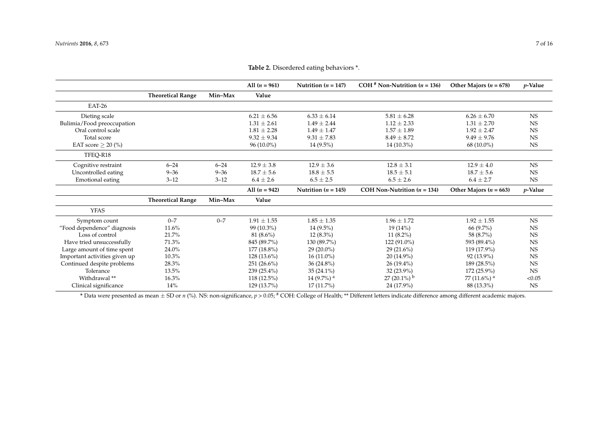|                               |                          |          | All $(n = 961)$ | Nutrition $(n = 147)$    | COH <sup>#</sup> Non-Nutrition $(n = 136)$ | Other Majors $(n = 678)$   | <i>v</i> -Value |
|-------------------------------|--------------------------|----------|-----------------|--------------------------|--------------------------------------------|----------------------------|-----------------|
|                               | <b>Theoretical Range</b> | Min-Max  | Value           |                          |                                            |                            |                 |
| EAT-26                        |                          |          |                 |                          |                                            |                            |                 |
| Dieting scale                 |                          |          | $6.21 \pm 6.56$ | $6.33 \pm 6.14$          | $5.81 \pm 6.28$                            | $6.26 \pm 6.70$            | <b>NS</b>       |
| Bulimia/Food preoccupation    |                          |          | $1.31 \pm 2.61$ | $1.49 \pm 2.44$          | $1.12 \pm 2.33$                            | $1.31 \pm 2.70$            | <b>NS</b>       |
| Oral control scale            |                          |          | $1.81 \pm 2.28$ | $1.49 \pm 1.47$          | $1.57 \pm 1.89$                            | $1.92 \pm 2.47$            | <b>NS</b>       |
| Total score                   |                          |          | $9.32 \pm 9.34$ | $9.31 \pm 7.83$          | $8.49 \pm 8.72$                            | $9.49 \pm 9.76$            | <b>NS</b>       |
| EAT score $>$ 20 (%)          |                          |          | $96(10.0\%)$    | $14(9.5\%)$              | $14(10.3\%)$                               | $68(10.0\%)$               | <b>NS</b>       |
| TFEQ-R18                      |                          |          |                 |                          |                                            |                            |                 |
| Cognitive restraint           | $6 - 24$                 | $6 - 24$ | $12.9 \pm 3.8$  | $12.9 \pm 3.6$           | $12.8 \pm 3.1$                             | $12.9 \pm 4.0$             | <b>NS</b>       |
| Uncontrolled eating           | $9 - 36$                 | $9 - 36$ | $18.7 \pm 5.6$  | $18.8 \pm 5.5$           | $18.5 \pm 5.1$                             | $18.7 \pm 5.6$             | <b>NS</b>       |
| Emotional eating              | $3 - 12$                 | $3 - 12$ | $6.4 \pm 2.6$   | $6.5 \pm 2.5$            | $6.5 \pm 2.6$                              | $6.4 \pm 2.7$              | <b>NS</b>       |
|                               |                          |          | All $(n = 942)$ | Nutrition $(n = 145)$    | COH Non-Nutrition $(n = 134)$              | Other Majors ( $n = 663$ ) | $p$ -Value      |
|                               |                          |          |                 |                          |                                            |                            |                 |
|                               | <b>Theoretical Range</b> | Min-Max  | Value           |                          |                                            |                            |                 |
| <b>YFAS</b>                   |                          |          |                 |                          |                                            |                            |                 |
| Symptom count                 | $0 - 7$                  | $0 - 7$  | $1.91 \pm 1.55$ | $1.85 \pm 1.35$          | $1.96 \pm 1.72$                            | $1.92 \pm 1.55$            | $_{\rm NS}$     |
| "Food dependence" diagnosis   | 11.6%                    |          | 99 (10.3%)      | $14(9.5\%)$              | 19(14%)                                    | 66 (9.7%)                  | <b>NS</b>       |
| Loss of control               | 21.7%                    |          | $81(8.6\%)$     | $12(8.3\%)$              | $11(8.2\%)$                                | 58 (8.7%)                  | <b>NS</b>       |
| Have tried unsuccessfully     | 71.3%                    |          | 845 (89.7%)     | 130 (89.7%)              | 122 (91.0%)                                | 593 (89.4%)                | <b>NS</b>       |
| Large amount of time spent    | 24.0%                    |          | 177 (18.8%)     | $29(20.0\%)$             | $29(21.6\%)$                               | 119 (17.9%)                | <b>NS</b>       |
| Important activities given up | 10.3%                    |          | $128(13.6\%)$   | $16(11.0\%)$             | $20(14.9\%)$                               | $92(13.9\%)$               | <b>NS</b>       |
| Continued despite problems    | 28.3%                    |          | $251(26.6\%)$   | $36(24.8\%)$             | $26(19.4\%)$                               | 189 (28.5%)                | <b>NS</b>       |
| Tolerance                     | 13.5%                    |          | $239(25.4\%)$   | $35(24.1\%)$             | 32 (23.9%)                                 | 172 (25.9%)                | <b>NS</b>       |
| Withdrawal **                 | 16.3%                    |          | 118 (12.5%)     | $14(9.7\%)$ <sup>a</sup> | $27(20.1\%)$ <sup>b</sup>                  | 77 (11.6%) <sup>a</sup>    | < 0.05          |

**Table 2.** Disordered eating behaviors \*.

<span id="page-7-0"></span>**\*** Data were presented as mean ± SD or *n* (%). NS: non-significance, *p* > 0.05; # COH: College of Health; \*\* Different letters indicate difference among different academic majors.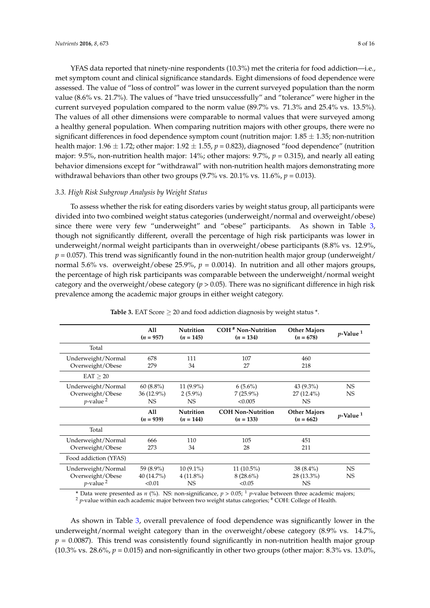YFAS data reported that ninety-nine respondents (10.3%) met the criteria for food addiction—i.e., met symptom count and clinical significance standards. Eight dimensions of food dependence were assessed. The value of "loss of control" was lower in the current surveyed population than the norm value (8.6% vs. 21.7%). The values of "have tried unsuccessfully" and "tolerance" were higher in the current surveyed population compared to the norm value (89.7% vs. 71.3% and 25.4% vs. 13.5%). The values of all other dimensions were comparable to normal values that were surveyed among a healthy general population. When comparing nutrition majors with other groups, there were no significant differences in food dependence symptom count (nutrition major:  $1.85 \pm 1.35$ ; non-nutrition health major:  $1.96 \pm 1.72$ ; other major:  $1.92 \pm 1.55$ ,  $p = 0.823$ ), diagnosed "food dependence" (nutrition major: 9.5%, non-nutrition health major: 14%; other majors: 9.7%, *p* = 0.315), and nearly all eating behavior dimensions except for "withdrawal" with non-nutrition health majors demonstrating more withdrawal behaviors than other two groups  $(9.7\% \text{ vs. } 20.1\% \text{ vs. } 11.6\%, p = 0.013)$ .

#### *3.3. High Risk Subgroup Analysis by Weight Status*

To assess whether the risk for eating disorders varies by weight status group, all participants were divided into two combined weight status categories (underweight/normal and overweight/obese) since there were very few "underweight" and "obese" participants. As shown in Table [3,](#page-8-0) though not significantly different, overall the percentage of high risk participants was lower in underweight/normal weight participants than in overweight/obese participants (8.8% vs. 12.9%,  $p = 0.057$ ). This trend was significantly found in the non-nutrition health major group (underweight/ normal 5.6% vs. overweight/obese 25.9%, *p* = 0.0014). In nutrition and all other majors groups, the percentage of high risk participants was comparable between the underweight/normal weight category and the overweight/obese category  $(p > 0.05)$ . There was no significant difference in high risk prevalence among the academic major groups in either weight category.

<span id="page-8-0"></span>

|                                                                   | A11<br>$(n = 957)$                  | <b>Nutrition</b><br>$(n = 145)$         | COH <sup>#</sup> Non-Nutrition<br>$(n = 134)$ | <b>Other Majors</b><br>$(n = 678)$ | $p$ -Value <sup>1</sup> |
|-------------------------------------------------------------------|-------------------------------------|-----------------------------------------|-----------------------------------------------|------------------------------------|-------------------------|
| Total                                                             |                                     |                                         |                                               |                                    |                         |
| Underweight/Normal<br>Overweight/Obese                            | 678<br>279                          | 111<br>34                               | 107<br>27                                     | 460<br>218                         |                         |
| EAT > 20                                                          |                                     |                                         |                                               |                                    |                         |
| Underweight/Normal<br>Overweight/Obese<br>$p$ -value <sup>2</sup> | $60(8.8\%)$<br>$36(12.9\%)$<br>NS   | $11(9.9\%)$<br>$2(5.9\%)$<br><b>NS</b>  | $6(5.6\%)$<br>$7(25.9\%)$<br>< 0.005          | $43(9.3\%)$<br>$27(12.4\%)$<br>NS. | <b>NS</b><br><b>NS</b>  |
|                                                                   | All<br>$(n = 939)$                  | <b>Nutrition</b><br>$(n = 144)$         | <b>COH Non-Nutrition</b><br>$(n = 133)$       | <b>Other Majors</b><br>$(n = 662)$ | $p$ -Value <sup>1</sup> |
| Total                                                             |                                     |                                         |                                               |                                    |                         |
| Underweight/Normal<br>Overweight/Obese                            | 666<br>273                          | 110<br>34                               | 105<br>28                                     | 451<br>211                         |                         |
| Food addiction (YFAS)                                             |                                     |                                         |                                               |                                    |                         |
| Underweight/Normal<br>Overweight/Obese<br>$p$ -value <sup>2</sup> | 59 (8.9%)<br>$40(14.7\%)$<br>< 0.01 | $10(9.1\%)$<br>$4(11.8\%)$<br><b>NS</b> | $11(10.5\%)$<br>$8(28.6\%)$<br>< 0.05         | $38(8.4\%)$<br>28 (13.3%)<br>NS.   | <b>NS</b><br><b>NS</b>  |

**Table 3.** EAT Score  $\geq 20$  and food addiction diagnosis by weight status  $*$ .

\* Data were presented as *n* (%). NS: non-significance,  $p > 0.05$ ;  $\frac{1}{p}$  *p*-value between three academic majors; <sup>2</sup> *p*-value within each academic major between two weight status categories; # COH: College of Health.

As shown in Table [3,](#page-8-0) overall prevalence of food dependence was significantly lower in the underweight/normal weight category than in the overweight/obese category (8.9% vs. 14.7%,  $p = 0.0087$ ). This trend was consistently found significantly in non-nutrition health major group  $(10.3\% \text{ vs. } 28.6\%, p = 0.015)$  and non-significantly in other two groups (other major: 8.3% vs. 13.0%)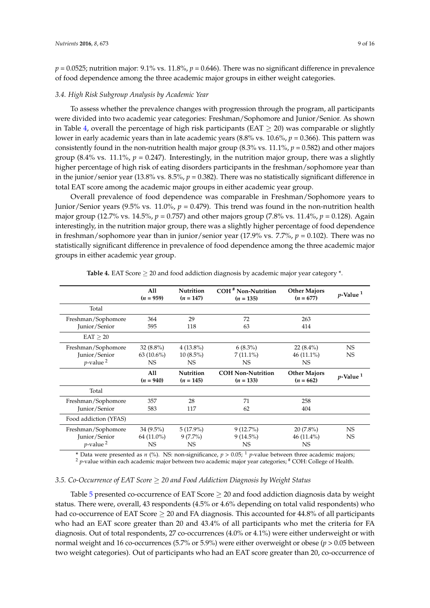$p = 0.0525$ ; nutrition major: 9.1% vs. 11.8%,  $p = 0.646$ ). There was no significant difference in prevalence of food dependence among the three academic major groups in either weight categories.

### *3.4. High Risk Subgroup Analysis by Academic Year*

To assess whether the prevalence changes with progression through the program, all participants were divided into two academic year categories: Freshman/Sophomore and Junior/Senior. As shown in Table [4,](#page-9-0) overall the percentage of high risk participants (EAT  $\geq$  20) was comparable or slightly lower in early academic years than in late academic years (8.8% vs. 10.6%, *p* = 0.366). This pattern was consistently found in the non-nutrition health major group (8.3% vs. 11.1%, *p* = 0.582) and other majors group (8.4% vs. 11.1%,  $p = 0.247$ ). Interestingly, in the nutrition major group, there was a slightly higher percentage of high risk of eating disorders participants in the freshman/sophomore year than in the junior/senior year (13.8% vs. 8.5%,  $p = 0.382$ ). There was no statistically significant difference in total EAT score among the academic major groups in either academic year group.

Overall prevalence of food dependence was comparable in Freshman/Sophomore years to Junior/Senior years (9.5% vs. 11.0%, *p* = 0.479). This trend was found in the non-nutrition health major group (12.7% vs. 14.5%, *p* = 0.757) and other majors group (7.8% vs. 11.4%, *p* = 0.128). Again interestingly, in the nutrition major group, there was a slightly higher percentage of food dependence in freshman/sophomore year than in junior/senior year (17.9% vs. 7.7%, *p* = 0.102). There was no statistically significant difference in prevalence of food dependence among the three academic major groups in either academic year group.

<span id="page-9-0"></span>

|                                                                | All<br>$(n = 959)$                     | <b>Nutrition</b><br>$(n = 147)$        | <b>COH</b> <sup>#</sup> Non-Nutrition<br>$(n = 135)$ | <b>Other Majors</b><br>$(n = 677)$       | $p$ -Value <sup>1</sup> |
|----------------------------------------------------------------|----------------------------------------|----------------------------------------|------------------------------------------------------|------------------------------------------|-------------------------|
| Total                                                          |                                        |                                        |                                                      |                                          |                         |
| Freshman/Sophomore<br>Junior/Senior                            | 364<br>595                             | 29<br>118                              | 72<br>63                                             | 263<br>414                               |                         |
| EAT > 20                                                       |                                        |                                        |                                                      |                                          |                         |
| Freshman/Sophomore<br>Junior/Senior<br>$p$ -value <sup>2</sup> | $32(8.8\%)$<br>$63(10.6\%)$<br>NS.     | $4(13.8\%)$<br>$10(8.5\%)$<br>NS.      | $6(8.3\%)$<br>$7(11.1\%)$<br><b>NS</b>               | $22(8.4\%)$<br>$46(11.1\%)$<br>NS        | <b>NS</b><br><b>NS</b>  |
|                                                                | All<br>$(n = 940)$                     | <b>Nutrition</b><br>$(n = 145)$        | <b>COH Non-Nutrition</b><br>$(n = 133)$              | <b>Other Majors</b><br>$(n = 662)$       | $p$ -Value <sup>1</sup> |
| Total                                                          |                                        |                                        |                                                      |                                          |                         |
| Freshman/Sophomore<br>Junior/Senior                            | 357<br>583                             | 28<br>117                              | 71<br>62                                             | 258<br>404                               |                         |
| Food addiction (YFAS)                                          |                                        |                                        |                                                      |                                          |                         |
| Freshman/Sophomore<br>Junior/Senior<br>$p$ -value <sup>2</sup> | $34(9.5\%)$<br>64 (11.0%)<br><b>NS</b> | $5(17.9\%)$<br>$9(7.7\%)$<br><b>NS</b> | $9(12.7\%)$<br>$9(14.5\%)$<br><b>NS</b>              | $20(7.8\%)$<br>$46(11.4\%)$<br><b>NS</b> | NS.<br><b>NS</b>        |

**Table 4.** EAT Score ≥ 20 and food addiction diagnosis by academic major year category \*.

\* Data were presented as *n* (%). NS: non-significance,  $p > 0.05$ ; <sup>1</sup> *p*-value between three academic majors; <sup>2</sup> *p*-value within each academic major between two academic major year categories; <sup>#</sup> COH: College of Health.

#### *3.5. Co-Occurrence of EAT Score* ≥ *20 and Food Addiction Diagnosis by Weight Status*

Table [5](#page-10-0) presented co-occurrence of EAT Score > 20 and food addiction diagnosis data by weight status. There were, overall, 43 respondents (4.5% or 4.6% depending on total valid respondents) who had co-occurrence of EAT Score  $>$  20 and FA diagnosis. This accounted for 44.8% of all participants who had an EAT score greater than 20 and 43.4% of all participants who met the criteria for FA diagnosis. Out of total respondents, 27 co-occurrences (4.0% or 4.1%) were either underweight or with normal weight and 16 co-occurrences (5.7% or 5.9%) were either overweight or obese (*p* > 0.05 between two weight categories). Out of participants who had an EAT score greater than 20, co-occurrence of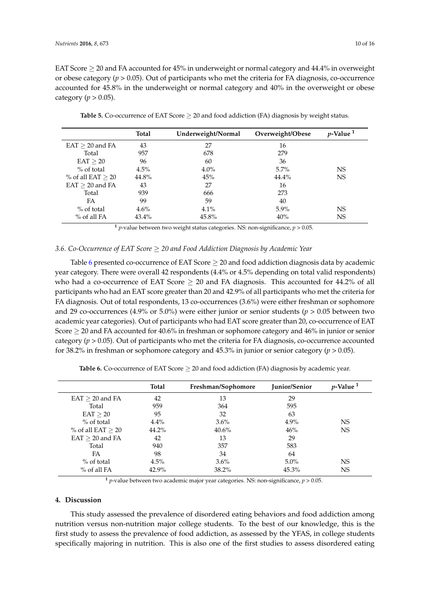EAT Score  $\geq$  20 and FA accounted for 45% in underweight or normal category and 44.4% in overweight or obese category ( $p > 0.05$ ). Out of participants who met the criteria for FA diagnosis, co-occurrence accounted for 45.8% in the underweight or normal category and 40% in the overweight or obese category ( $p > 0.05$ ).

<span id="page-10-0"></span>

|                      | Total   | Underweight/Normal | Overweight/Obese | $p$ -Value $1$ |
|----------------------|---------|--------------------|------------------|----------------|
| $EAT \geq 20$ and FA | 43      | 27                 | 16               |                |
| Total                | 957     | 678                | 279              |                |
| $EAT \geq 20$        | 96      | 60                 | 36               |                |
| $%$ of total         | $4.5\%$ | $4.0\%$            | $5.7\%$          | NS             |
| % of all EAT $> 20$  | 44.8%   | 45%                | 44.4%            | <b>NS</b>      |
| $EAT \geq 20$ and FA | 43      | 27                 | 16               |                |
| Total                | 939     | 666                | 273              |                |
| FA                   | 99      | 59                 | 40               |                |
| $%$ of total         | $4.6\%$ | $4.1\%$            | $5.9\%$          | NS             |
| $%$ of all FA        | 43.4%   | 45.8%              | 40%              | NS             |

**Table 5.** Co-occurrence of EAT Score  $\geq 20$  and food addiction (FA) diagnosis by weight status.

<sup>1</sup> *p*-value between two weight status categories. NS: non-significance,  $p > 0.05$ .

# *3.6. Co-Occurrence of EAT Score* ≥ *20 and Food Addiction Diagnosis by Academic Year*

Table [6](#page-10-1) presented co-occurrence of EAT Score  $\geq$  20 and food addiction diagnosis data by academic year category. There were overall 42 respondents (4.4% or 4.5% depending on total valid respondents) who had a co-occurrence of EAT Score  $\geq$  20 and FA diagnosis. This accounted for 44.2% of all participants who had an EAT score greater than 20 and 42.9% of all participants who met the criteria for FA diagnosis. Out of total respondents, 13 co-occurrences (3.6%) were either freshman or sophomore and 29 co-occurrences (4.9% or 5.0%) were either junior or senior students ( $p > 0.05$  between two academic year categories). Out of participants who had EAT score greater than 20, co-occurrence of EAT Score  $\geq$  20 and FA accounted for 40.6% in freshman or sophomore category and 46% in junior or senior category (*p* > 0.05). Out of participants who met the criteria for FA diagnosis, co-occurrence accounted for 38.2% in freshman or sophomore category and 45.3% in junior or senior category (*p* > 0.05).

<span id="page-10-1"></span>

|                     | Total    | Freshman/Sophomore | Junior/Senior | $p$ -Value <sup>1</sup> |
|---------------------|----------|--------------------|---------------|-------------------------|
| $EAT > 20$ and FA   | 42       | 13                 | 29            |                         |
| Total               | 959      | 364                | 595           |                         |
| EAT > 20            | 95       | 32                 | 63            |                         |
| $%$ of total        | $4.4\%$  | $3.6\%$            | $4.9\%$       | NS.                     |
| % of all EAT $> 20$ | $44.2\%$ | $40.6\%$           | 46%           | NS.                     |
| $EAT > 20$ and FA   | 42       | 13                 | 29            |                         |
| Total               | 940      | 357                | 583           |                         |
| FA                  | 98       | 34                 | 64            |                         |
| $%$ of total        | 4.5%     | $3.6\%$            | $5.0\%$       | <b>NS</b>               |
| $%$ of all FA       | 42.9%    | 38.2%              | 45.3%         | NS                      |

**Table 6.** Co-occurrence of EAT Score  $\geq$  20 and food addiction (FA) diagnosis by academic year.

<sup>1</sup> *p*-value between two academic major year categories. NS: non-significance,  $p > 0.05$ .

# **4. Discussion**

This study assessed the prevalence of disordered eating behaviors and food addiction among nutrition versus non-nutrition major college students. To the best of our knowledge, this is the first study to assess the prevalence of food addiction, as assessed by the YFAS, in college students specifically majoring in nutrition. This is also one of the first studies to assess disordered eating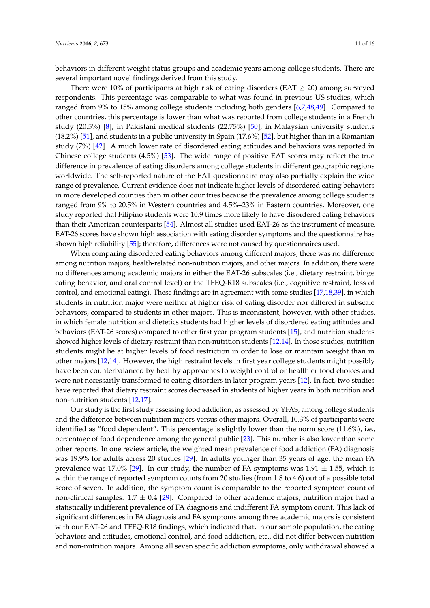behaviors in different weight status groups and academic years among college students. There are several important novel findings derived from this study.

There were 10% of participants at high risk of eating disorders (EAT  $\geq$  20) among surveyed respondents. This percentage was comparable to what was found in previous US studies, which ranged from 9% to 15% among college students including both genders [\[6,](#page-14-5)[7,](#page-14-7)[48,](#page-16-3)[49\]](#page-16-4). Compared to other countries, this percentage is lower than what was reported from college students in a French study (20.5%) [\[8\]](#page-14-6), in Pakistani medical students (22.75%) [\[50\]](#page-16-5), in Malaysian university students (18.2%) [\[51\]](#page-16-6), and students in a public university in Spain (17.6%) [\[52\]](#page-16-7), but higher than in a Romanian study (7%) [\[42\]](#page-15-16). A much lower rate of disordered eating attitudes and behaviors was reported in Chinese college students (4.5%) [\[53\]](#page-16-8). The wide range of positive EAT scores may reflect the true difference in prevalence of eating disorders among college students in different geographic regions worldwide. The self-reported nature of the EAT questionnaire may also partially explain the wide range of prevalence. Current evidence does not indicate higher levels of disordered eating behaviors in more developed counties than in other countries because the prevalence among college students ranged from 9% to 20.5% in Western countries and 4.5%–23% in Eastern countries. Moreover, one study reported that Filipino students were 10.9 times more likely to have disordered eating behaviors than their American counterparts [\[54\]](#page-16-9). Almost all studies used EAT-26 as the instrument of measure. EAT-26 scores have shown high association with eating disorder symptoms and the questionnaire has shown high reliability [\[55\]](#page-16-10); therefore, differences were not caused by questionnaires used.

When comparing disordered eating behaviors among different majors, there was no difference among nutrition majors, health-related non-nutrition majors, and other majors. In addition, there were no differences among academic majors in either the EAT-26 subscales (i.e., dietary restraint, binge eating behavior, and oral control level) or the TFEQ-R18 subscales (i.e., cognitive restraint, loss of control, and emotional eating). These findings are in agreement with some studies [\[17](#page-14-15)[,18](#page-14-16)[,39\]](#page-15-13), in which students in nutrition major were neither at higher risk of eating disorder nor differed in subscale behaviors, compared to students in other majors. This is inconsistent, however, with other studies, in which female nutrition and dietetics students had higher levels of disordered eating attitudes and behaviors (EAT-26 scores) compared to other first year program students [\[15\]](#page-14-21), and nutrition students showed higher levels of dietary restraint than non-nutrition students [\[12,](#page-14-11)[14\]](#page-14-13). In those studies, nutrition students might be at higher levels of food restriction in order to lose or maintain weight than in other majors [\[12](#page-14-11)[,14\]](#page-14-13). However, the high restraint levels in first year college students might possibly have been counterbalanced by healthy approaches to weight control or healthier food choices and were not necessarily transformed to eating disorders in later program years [\[12\]](#page-14-11). In fact, two studies have reported that dietary restraint scores decreased in students of higher years in both nutrition and non-nutrition students [\[12,](#page-14-11)[17\]](#page-14-15).

Our study is the first study assessing food addiction, as assessed by YFAS, among college students and the difference between nutrition majors versus other majors. Overall, 10.3% of participants were identified as "food dependent". This percentage is slightly lower than the norm score (11.6%), i.e., percentage of food dependence among the general public [\[23\]](#page-15-1). This number is also lower than some other reports. In one review article, the weighted mean prevalence of food addiction (FA) diagnosis was 19.9% for adults across 20 studies [\[29\]](#page-15-3). In adults younger than 35 years of age, the mean FA prevalence was 17.0% [\[29\]](#page-15-3). In our study, the number of FA symptoms was  $1.91 \pm 1.55$ , which is within the range of reported symptom counts from 20 studies (from 1.8 to 4.6) out of a possible total score of seven. In addition, the symptom count is comparable to the reported symptom count of non-clinical samples:  $1.7 \pm 0.4$  [\[29\]](#page-15-3). Compared to other academic majors, nutrition major had a statistically indifferent prevalence of FA diagnosis and indifferent FA symptom count. This lack of significant differences in FA diagnosis and FA symptoms among three academic majors is consistent with our EAT-26 and TFEQ-R18 findings, which indicated that, in our sample population, the eating behaviors and attitudes, emotional control, and food addiction, etc., did not differ between nutrition and non-nutrition majors. Among all seven specific addiction symptoms, only withdrawal showed a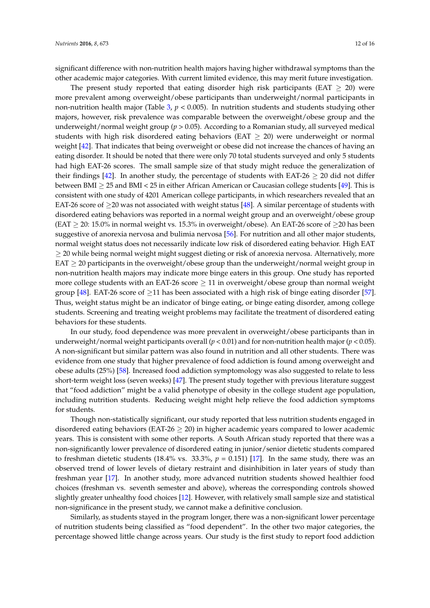significant difference with non-nutrition health majors having higher withdrawal symptoms than the other academic major categories. With current limited evidence, this may merit future investigation.

The present study reported that eating disorder high risk participants (EAT  $\geq$  20) were more prevalent among overweight/obese participants than underweight/normal participants in non-nutrition health major (Table [3,](#page-8-0) *p* < 0.005). In nutrition students and students studying other majors, however, risk prevalence was comparable between the overweight/obese group and the underweight/normal weight group (*p* > 0.05). According to a Romanian study, all surveyed medical students with high risk disordered eating behaviors (EAT  $\geq$  20) were underweight or normal weight [\[42\]](#page-15-16). That indicates that being overweight or obese did not increase the chances of having an eating disorder. It should be noted that there were only 70 total students surveyed and only 5 students had high EAT-26 scores. The small sample size of that study might reduce the generalization of their findings [\[42\]](#page-15-16). In another study, the percentage of students with EAT-26  $\geq$  20 did not differ between BMI  $\geq$  25 and BMI < 25 in either African American or Caucasian college students [\[49\]](#page-16-4). This is consistent with one study of 4201 American college participants, in which researchers revealed that an EAT-26 score of  $\geq$ 20 was not associated with weight status [\[48\]](#page-16-3). A similar percentage of students with disordered eating behaviors was reported in a normal weight group and an overweight/obese group (EAT  $\geq$  20: 15.0% in normal weight vs. 15.3% in overweight/obese). An EAT-26 score of  $\geq$  20 has been suggestive of anorexia nervosa and bulimia nervosa [\[56\]](#page-16-11). For nutrition and all other major students, normal weight status does not necessarily indicate low risk of disordered eating behavior. High EAT  $\geq$  20 while being normal weight might suggest dieting or risk of anorexia nervosa. Alternatively, more EAT  $\geq$  20 participants in the overweight/obese group than the underweight/normal weight group in non-nutrition health majors may indicate more binge eaters in this group. One study has reported more college students with an EAT-26 score  $\geq$  11 in overweight/obese group than normal weight group [\[48\]](#page-16-3). EAT-26 score of  $\geq$ 11 has been associated with a high risk of binge eating disorder [\[57\]](#page-16-12). Thus, weight status might be an indicator of binge eating, or binge eating disorder, among college students. Screening and treating weight problems may facilitate the treatment of disordered eating behaviors for these students.

In our study, food dependence was more prevalent in overweight/obese participants than in underweight/normal weight participants overall (*p* < 0.01) and for non-nutrition health major (*p* < 0.05). A non-significant but similar pattern was also found in nutrition and all other students. There was evidence from one study that higher prevalence of food addiction is found among overweight and obese adults (25%) [\[58\]](#page-16-13). Increased food addiction symptomology was also suggested to relate to less short-term weight loss (seven weeks) [\[47\]](#page-16-2). The present study together with previous literature suggest that "food addiction" might be a valid phenotype of obesity in the college student age population, including nutrition students. Reducing weight might help relieve the food addiction symptoms for students.

Though non-statistically significant, our study reported that less nutrition students engaged in disordered eating behaviors (EAT-26  $\geq$  20) in higher academic years compared to lower academic years. This is consistent with some other reports. A South African study reported that there was a non-significantly lower prevalence of disordered eating in junior/senior dietetic students compared to freshman dietetic students (18.4% vs. 33.3%,  $p = 0.151$ ) [\[17\]](#page-14-15). In the same study, there was an observed trend of lower levels of dietary restraint and disinhibition in later years of study than freshman year [\[17\]](#page-14-15). In another study, more advanced nutrition students showed healthier food choices (freshman vs. seventh semester and above), whereas the corresponding controls showed slightly greater unhealthy food choices [\[12\]](#page-14-11). However, with relatively small sample size and statistical non-significance in the present study, we cannot make a definitive conclusion.

Similarly, as students stayed in the program longer, there was a non-significant lower percentage of nutrition students being classified as "food dependent". In the other two major categories, the percentage showed little change across years. Our study is the first study to report food addiction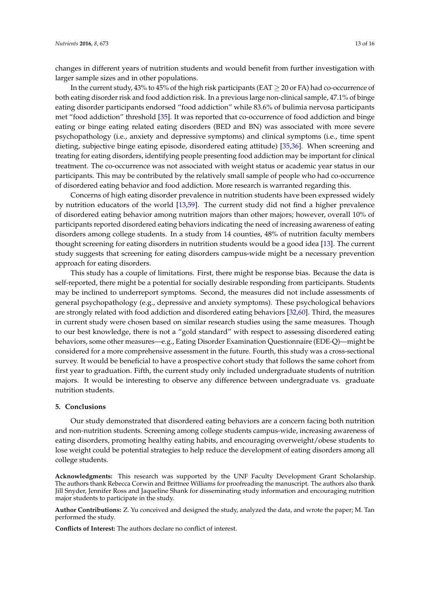changes in different years of nutrition students and would benefit from further investigation with larger sample sizes and in other populations.

In the current study, 43% to 45% of the high risk participants (EAT  $\geq$  20 or FA) had co-occurrence of both eating disorder risk and food addiction risk. In a previous large non-clinical sample, 47.1% of binge eating disorder participants endorsed "food addiction" while 83.6% of bulimia nervosa participants met "food addiction" threshold [\[35\]](#page-15-9). It was reported that co-occurrence of food addiction and binge eating or binge eating related eating disorders (BED and BN) was associated with more severe psychopathology (i.e., anxiety and depressive symptoms) and clinical symptoms (i.e., time spent dieting, subjective binge eating episode, disordered eating attitude) [\[35](#page-15-9)[,36\]](#page-15-10). When screening and treating for eating disorders, identifying people presenting food addiction may be important for clinical treatment. The co-occurrence was not associated with weight status or academic year status in our participants. This may be contributed by the relatively small sample of people who had co-occurrence of disordered eating behavior and food addiction. More research is warranted regarding this.

Concerns of high eating disorder prevalence in nutrition students have been expressed widely by nutrition educators of the world [\[13](#page-14-12)[,59\]](#page-16-14). The current study did not find a higher prevalence of disordered eating behavior among nutrition majors than other majors; however, overall 10% of participants reported disordered eating behaviors indicating the need of increasing awareness of eating disorders among college students. In a study from 14 counties, 48% of nutrition faculty members thought screening for eating disorders in nutrition students would be a good idea [\[13\]](#page-14-12). The current study suggests that screening for eating disorders campus-wide might be a necessary prevention approach for eating disorders.

This study has a couple of limitations. First, there might be response bias. Because the data is self-reported, there might be a potential for socially desirable responding from participants. Students may be inclined to underreport symptoms. Second, the measures did not include assessments of general psychopathology (e.g., depressive and anxiety symptoms). These psychological behaviors are strongly related with food addiction and disordered eating behaviors [\[32,](#page-15-6)[60\]](#page-16-15). Third, the measures in current study were chosen based on similar research studies using the same measures. Though to our best knowledge, there is not a "gold standard" with respect to assessing disordered eating behaviors, some other measures—e.g., Eating Disorder Examination Questionnaire (EDE-Q)—might be considered for a more comprehensive assessment in the future. Fourth, this study was a cross-sectional survey. It would be beneficial to have a prospective cohort study that follows the same cohort from first year to graduation. Fifth, the current study only included undergraduate students of nutrition majors. It would be interesting to observe any difference between undergraduate vs. graduate nutrition students.

#### **5. Conclusions**

Our study demonstrated that disordered eating behaviors are a concern facing both nutrition and non-nutrition students. Screening among college students campus-wide, increasing awareness of eating disorders, promoting healthy eating habits, and encouraging overweight/obese students to lose weight could be potential strategies to help reduce the development of eating disorders among all college students.

**Acknowledgments:** This research was supported by the UNF Faculty Development Grant Scholarship. The authors thank Rebecca Corwin and Brittnee Williams for proofreading the manuscript. The authors also thank Jill Snyder, Jennifer Ross and Jaqueline Shank for disseminating study information and encouraging nutrition major students to participate in the study.

**Author Contributions:** Z. Yu conceived and designed the study, analyzed the data, and wrote the paper; M. Tan performed the study.

**Conflicts of Interest:** The authors declare no conflict of interest.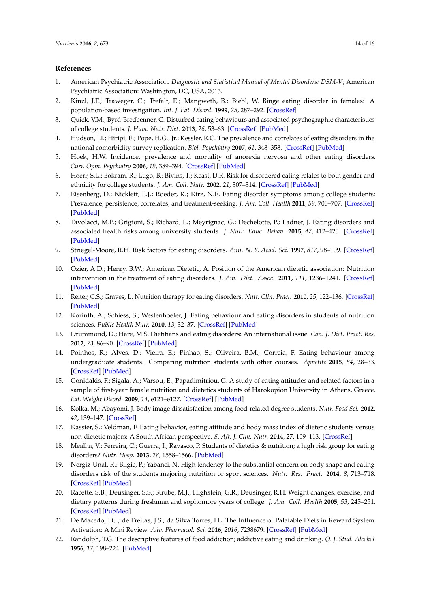# **References**

- <span id="page-14-0"></span>1. American Psychiatric Association. *Diagnostic and Statistical Manual of Mental Disorders: DSM-V*; American Psychiatric Association: Washington, DC, USA, 2013.
- <span id="page-14-1"></span>2. Kinzl, J.F.; Traweger, C.; Trefalt, E.; Mangweth, B.; Biebl, W. Binge eating disorder in females: A population-based investigation. *Int. J. Eat. Disord.* **1999**, *25*, 287–292. [\[CrossRef\]](http://dx.doi.org/10.1002/(SICI)1098-108X(199904)25:3<287::AID-EAT6>3.0.CO;2-8)
- <span id="page-14-2"></span>3. Quick, V.M.; Byrd-Bredbenner, C. Disturbed eating behaviours and associated psychographic characteristics of college students. *J. Hum. Nutr. Diet.* **2013**, *26*, 53–63. [\[CrossRef\]](http://dx.doi.org/10.1111/jhn.12060) [\[PubMed\]](http://www.ncbi.nlm.nih.gov/pubmed/23627697)
- <span id="page-14-3"></span>4. Hudson, J.I.; Hiripi, E.; Pope, H.G., Jr.; Kessler, R.C. The prevalence and correlates of eating disorders in the national comorbidity survey replication. *Biol. Psychiatry* **2007**, *61*, 348–358. [\[CrossRef\]](http://dx.doi.org/10.1016/j.biopsych.2006.03.040) [\[PubMed\]](http://www.ncbi.nlm.nih.gov/pubmed/16815322)
- <span id="page-14-4"></span>5. Hoek, H.W. Incidence, prevalence and mortality of anorexia nervosa and other eating disorders. *Curr. Opin. Psychiatry* **2006**, *19*, 389–394. [\[CrossRef\]](http://dx.doi.org/10.1097/01.yco.0000228759.95237.78) [\[PubMed\]](http://www.ncbi.nlm.nih.gov/pubmed/16721169)
- <span id="page-14-5"></span>6. Hoerr, S.L.; Bokram, R.; Lugo, B.; Bivins, T.; Keast, D.R. Risk for disordered eating relates to both gender and ethnicity for college students. *J. Am. Coll. Nutr.* **2002**, *21*, 307–314. [\[CrossRef\]](http://dx.doi.org/10.1080/07315724.2002.10719228) [\[PubMed\]](http://www.ncbi.nlm.nih.gov/pubmed/12166527)
- <span id="page-14-7"></span>7. Eisenberg, D.; Nicklett, E.J.; Roeder, K.; Kirz, N.E. Eating disorder symptoms among college students: Prevalence, persistence, correlates, and treatment-seeking. *J. Am. Coll. Health* **2011**, *59*, 700–707. [\[CrossRef\]](http://dx.doi.org/10.1080/07448481.2010.546461) [\[PubMed\]](http://www.ncbi.nlm.nih.gov/pubmed/21950250)
- <span id="page-14-6"></span>8. Tavolacci, M.P.; Grigioni, S.; Richard, L.; Meyrignac, G.; Dechelotte, P.; Ladner, J. Eating disorders and associated health risks among university students. *J. Nutr. Educ. Behav.* **2015**, *47*, 412–420. [\[CrossRef\]](http://dx.doi.org/10.1016/j.jneb.2015.06.009) [\[PubMed\]](http://www.ncbi.nlm.nih.gov/pubmed/26363936)
- <span id="page-14-8"></span>9. Striegel-Moore, R.H. Risk factors for eating disorders. *Ann. N. Y. Acad. Sci.* **1997**, *817*, 98–109. [\[CrossRef\]](http://dx.doi.org/10.1111/j.1749-6632.1997.tb48199.x) [\[PubMed\]](http://www.ncbi.nlm.nih.gov/pubmed/9239181)
- <span id="page-14-9"></span>10. Ozier, A.D.; Henry, B.W.; American Dietetic, A. Position of the American dietetic association: Nutrition intervention in the treatment of eating disorders. *J. Am. Diet. Assoc.* **2011**, *111*, 1236–1241. [\[CrossRef\]](http://dx.doi.org/10.1016/j.jada.2011.06.016) [\[PubMed\]](http://www.ncbi.nlm.nih.gov/pubmed/21802573)
- <span id="page-14-10"></span>11. Reiter, C.S.; Graves, L. Nutrition therapy for eating disorders. *Nutr. Clin. Pract.* **2010**, *25*, 122–136. [\[CrossRef\]](http://dx.doi.org/10.1177/0884533610361606) [\[PubMed\]](http://www.ncbi.nlm.nih.gov/pubmed/20413693)
- <span id="page-14-11"></span>12. Korinth, A.; Schiess, S.; Westenhoefer, J. Eating behaviour and eating disorders in students of nutrition sciences. *Public Health Nutr.* **2010**, *13*, 32–37. [\[CrossRef\]](http://dx.doi.org/10.1017/S1368980009005709) [\[PubMed\]](http://www.ncbi.nlm.nih.gov/pubmed/19433007)
- <span id="page-14-12"></span>13. Drummond, D.; Hare, M.S. Dietitians and eating disorders: An international issue. *Can. J. Diet. Pract. Res.* **2012**, *73*, 86–90. [\[CrossRef\]](http://dx.doi.org/10.3148/73.2.2012.86) [\[PubMed\]](http://www.ncbi.nlm.nih.gov/pubmed/22668844)
- <span id="page-14-13"></span>14. Poinhos, R.; Alves, D.; Vieira, E.; Pinhao, S.; Oliveira, B.M.; Correia, F. Eating behaviour among undergraduate students. Comparing nutrition students with other courses. *Appetite* **2015**, *84*, 28–33. [\[CrossRef\]](http://dx.doi.org/10.1016/j.appet.2014.09.011) [\[PubMed\]](http://www.ncbi.nlm.nih.gov/pubmed/25240638)
- <span id="page-14-21"></span>15. Gonidakis, F.; Sigala, A.; Varsou, E.; Papadimitriou, G. A study of eating attitudes and related factors in a sample of first-year female nutrition and dietetics students of Harokopion University in Athens, Greece. *Eat. Weight Disord.* **2009**, *14*, e121–e127. [\[CrossRef\]](http://dx.doi.org/10.1007/BF03327809) [\[PubMed\]](http://www.ncbi.nlm.nih.gov/pubmed/19934625)
- <span id="page-14-14"></span>16. Kolka, M.; Abayomi, J. Body image dissatisfaction among food-related degree students. *Nutr. Food Sci.* **2012**, *42*, 139–147. [\[CrossRef\]](http://dx.doi.org/10.1108/00346651211228423)
- <span id="page-14-15"></span>17. Kassier, S.; Veldman, F. Eating behavior, eating attitude and body mass index of dietetic students versus non-dietetic majors: A South African perspective. *S. Afr. J. Clin. Nutr.* **2014**, *27*, 109–113. [\[CrossRef\]](http://dx.doi.org/10.1080/16070658.2014.11734498)
- <span id="page-14-16"></span>18. Mealha, V.; Ferreira, C.; Guerra, I.; Ravasco, P. Students of dietetics & nutrition; a high risk group for eating disorders? *Nutr. Hosp.* **2013**, *28*, 1558–1566. [\[PubMed\]](http://www.ncbi.nlm.nih.gov/pubmed/24160216)
- <span id="page-14-17"></span>19. Nergiz-Unal, R.; Bilgic, P.; Yabanci, N. High tendency to the substantial concern on body shape and eating disorders risk of the students majoring nutrition or sport sciences. *Nutr. Res. Pract.* **2014**, *8*, 713–718. [\[CrossRef\]](http://dx.doi.org/10.4162/nrp.2014.8.6.713) [\[PubMed\]](http://www.ncbi.nlm.nih.gov/pubmed/25489412)
- <span id="page-14-18"></span>20. Racette, S.B.; Deusinger, S.S.; Strube, M.J.; Highstein, G.R.; Deusinger, R.H. Weight changes, exercise, and dietary patterns during freshman and sophomore years of college. *J. Am. Coll. Health* **2005**, *53*, 245–251. [\[CrossRef\]](http://dx.doi.org/10.3200/JACH.53.6.245-251) [\[PubMed\]](http://www.ncbi.nlm.nih.gov/pubmed/15900988)
- <span id="page-14-19"></span>21. De Macedo, I.C.; de Freitas, J.S.; da Silva Torres, I.L. The Influence of Palatable Diets in Reward System Activation: A Mini Review. *Adv. Pharmacol. Sci.* **2016**, *2016*, 7238679. [\[CrossRef\]](http://dx.doi.org/10.1155/2016/7238679) [\[PubMed\]](http://www.ncbi.nlm.nih.gov/pubmed/27087806)
- <span id="page-14-20"></span>22. Randolph, T.G. The descriptive features of food addiction; addictive eating and drinking. *Q. J. Stud. Alcohol* **1956**, *17*, 198–224. [\[PubMed\]](http://www.ncbi.nlm.nih.gov/pubmed/13336254)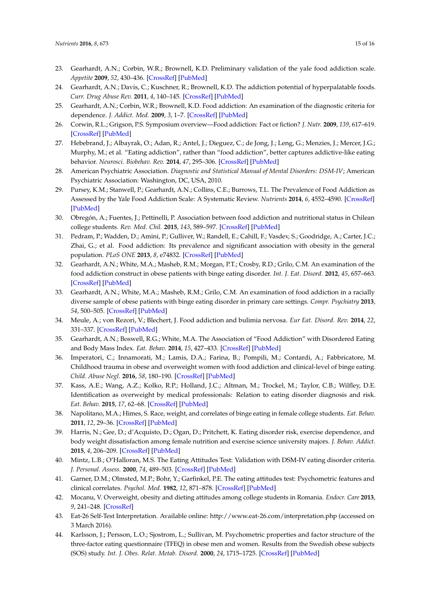- <span id="page-15-1"></span>23. Gearhardt, A.N.; Corbin, W.R.; Brownell, K.D. Preliminary validation of the yale food addiction scale. *Appetite* **2009**, *52*, 430–436. [\[CrossRef\]](http://dx.doi.org/10.1016/j.appet.2008.12.003) [\[PubMed\]](http://www.ncbi.nlm.nih.gov/pubmed/19121351)
- 24. Gearhardt, A.N.; Davis, C.; Kuschner, R.; Brownell, K.D. The addiction potential of hyperpalatable foods. *Curr. Drug Abuse Rev.* **2011**, *4*, 140–145. [\[CrossRef\]](http://dx.doi.org/10.2174/1874473711104030140) [\[PubMed\]](http://www.ncbi.nlm.nih.gov/pubmed/21999688)
- 25. Gearhardt, A.N.; Corbin, W.R.; Brownell, K.D. Food addiction: An examination of the diagnostic criteria for dependence. *J. Addict. Med.* **2009**, *3*, 1–7. [\[CrossRef\]](http://dx.doi.org/10.1097/ADM.0b013e318193c993) [\[PubMed\]](http://www.ncbi.nlm.nih.gov/pubmed/21768996)
- 26. Corwin, R.L.; Grigson, P.S. Symposium overview—Food addiction: Fact or fiction? *J. Nutr.* **2009**, *139*, 617–619. [\[CrossRef\]](http://dx.doi.org/10.3945/jn.108.097691) [\[PubMed\]](http://www.ncbi.nlm.nih.gov/pubmed/19176750)
- <span id="page-15-0"></span>27. Hebebrand, J.; Albayrak, O.; Adan, R.; Antel, J.; Dieguez, C.; de Jong, J.; Leng, G.; Menzies, J.; Mercer, J.G.; Murphy, M.; et al. "Eating addiction", rather than "food addiction", better captures addictive-like eating behavior. *Neurosci. Biobehav. Rev.* **2014**, *47*, 295–306. [\[CrossRef\]](http://dx.doi.org/10.1016/j.neubiorev.2014.08.016) [\[PubMed\]](http://www.ncbi.nlm.nih.gov/pubmed/25205078)
- <span id="page-15-2"></span>28. American Psychiatric Association. *Diagnostic and Statistical Manual of Mental Disorders: DSM-IV*; American Psychiatric Association: Washington, DC, USA, 2010.
- <span id="page-15-3"></span>29. Pursey, K.M.; Stanwell, P.; Gearhardt, A.N.; Collins, C.E.; Burrows, T.L. The Prevalence of Food Addiction as Assessed by the Yale Food Addiction Scale: A Systematic Review. *Nutrients* **2014**, *6*, 4552–4590. [\[CrossRef\]](http://dx.doi.org/10.3390/nu6104552) [\[PubMed\]](http://www.ncbi.nlm.nih.gov/pubmed/25338274)
- <span id="page-15-4"></span>30. Obregón, A.; Fuentes, J.; Pettinelli, P. Association between food addiction and nutritional status in Chilean college students. *Rev. Med. Chil.* **2015**, *143*, 589–597. [\[CrossRef\]](http://dx.doi.org/10.4067/S0034-98872015000500006) [\[PubMed\]](http://www.ncbi.nlm.nih.gov/pubmed/26203570)
- <span id="page-15-5"></span>31. Pedram, P.; Wadden, D.; Amini, P.; Gulliver, W.; Randell, E.; Cahill, F.; Vasdev, S.; Goodridge, A.; Carter, J.C.; Zhai, G.; et al. Food addiction: Its prevalence and significant association with obesity in the general population. *PLoS ONE* **2013**, *8*, e74832. [\[CrossRef\]](http://dx.doi.org/10.1371/journal.pone.0074832) [\[PubMed\]](http://www.ncbi.nlm.nih.gov/pubmed/24023964)
- <span id="page-15-6"></span>32. Gearhardt, A.N.; White, M.A.; Masheb, R.M.; Morgan, P.T.; Crosby, R.D.; Grilo, C.M. An examination of the food addiction construct in obese patients with binge eating disorder. *Int. J. Eat. Disord.* **2012**, *45*, 657–663. [\[CrossRef\]](http://dx.doi.org/10.1002/eat.20957) [\[PubMed\]](http://www.ncbi.nlm.nih.gov/pubmed/22684991)
- <span id="page-15-7"></span>33. Gearhardt, A.N.; White, M.A.; Masheb, R.M.; Grilo, C.M. An examination of food addiction in a racially diverse sample of obese patients with binge eating disorder in primary care settings. *Compr. Psychiatry* **2013**, *54*, 500–505. [\[CrossRef\]](http://dx.doi.org/10.1016/j.comppsych.2012.12.009) [\[PubMed\]](http://www.ncbi.nlm.nih.gov/pubmed/23332551)
- <span id="page-15-8"></span>34. Meule, A.; von Rezori, V.; Blechert, J. Food addiction and bulimia nervosa. *Eur Eat. Disord. Rev.* **2014**, *22*, 331–337. [\[CrossRef\]](http://dx.doi.org/10.1002/erv.2306) [\[PubMed\]](http://www.ncbi.nlm.nih.gov/pubmed/24995543)
- <span id="page-15-9"></span>35. Gearhardt, A.N.; Boswell, R.G.; White, M.A. The Association of "Food Addiction" with Disordered Eating and Body Mass Index. *Eat. Behav.* **2014**, *15*, 427–433. [\[CrossRef\]](http://dx.doi.org/10.1016/j.eatbeh.2014.05.001) [\[PubMed\]](http://www.ncbi.nlm.nih.gov/pubmed/25064294)
- <span id="page-15-10"></span>36. Imperatori, C.; Innamorati, M.; Lamis, D.A.; Farina, B.; Pompili, M.; Contardi, A.; Fabbricatore, M. Childhood trauma in obese and overweight women with food addiction and clinical-level of binge eating. *Child. Abuse Negl.* **2016**, *58*, 180–190. [\[CrossRef\]](http://dx.doi.org/10.1016/j.chiabu.2016.06.023) [\[PubMed\]](http://www.ncbi.nlm.nih.gov/pubmed/27442689)
- <span id="page-15-11"></span>37. Kass, A.E.; Wang, A.Z.; Kolko, R.P.; Holland, J.C.; Altman, M.; Trockel, M.; Taylor, C.B.; Wilfley, D.E. Identification as overweight by medical professionals: Relation to eating disorder diagnosis and risk. *Eat. Behav.* **2015**, *17*, 62–68. [\[CrossRef\]](http://dx.doi.org/10.1016/j.eatbeh.2014.12.013) [\[PubMed\]](http://www.ncbi.nlm.nih.gov/pubmed/25602172)
- <span id="page-15-12"></span>38. Napolitano, M.A.; Himes, S. Race, weight, and correlates of binge eating in female college students. *Eat. Behav.* **2011**, *12*, 29–36. [\[CrossRef\]](http://dx.doi.org/10.1016/j.eatbeh.2010.09.003) [\[PubMed\]](http://www.ncbi.nlm.nih.gov/pubmed/21184970)
- <span id="page-15-13"></span>39. Harris, N.; Gee, D.; d'Acquisto, D.; Ogan, D.; Pritchett, K. Eating disorder risk, exercise dependence, and body weight dissatisfaction among female nutrition and exercise science university majors. *J. Behav. Addict.* **2015**, *4*, 206–209. [\[CrossRef\]](http://dx.doi.org/10.1556/2006.4.2015.029) [\[PubMed\]](http://www.ncbi.nlm.nih.gov/pubmed/26551912)
- <span id="page-15-14"></span>40. Mintz, L.B.; O'Halloran, M.S. The Eating Attitudes Test: Validation with DSM-IV eating disorder criteria. *J. Personal. Assess.* **2000**, *74*, 489–503. [\[CrossRef\]](http://dx.doi.org/10.1207/S15327752JPA7403_11) [\[PubMed\]](http://www.ncbi.nlm.nih.gov/pubmed/10900574)
- <span id="page-15-15"></span>41. Garner, D.M.; Olmsted, M.P.; Bohr, Y.; Garfinkel, P.E. The eating attitudes test: Psychometric features and clinical correlates. *Psychol. Med.* **1982**, *12*, 871–878. [\[CrossRef\]](http://dx.doi.org/10.1017/S0033291700049163) [\[PubMed\]](http://www.ncbi.nlm.nih.gov/pubmed/6961471)
- <span id="page-15-16"></span>42. Mocanu, V. Overweight, obesity and dieting attitudes among college students in Romania. *Endocr. Care* **2013**, *9*, 241–248. [\[CrossRef\]](http://dx.doi.org/10.4183/aeb.2013.241)
- <span id="page-15-17"></span>43. Eat-26 Self-Test Interpretation. Available online: <http://www.eat-26.com/interpretation.php> (accessed on 3 March 2016).
- <span id="page-15-18"></span>44. Karlsson, J.; Persson, L.O.; Sjostrom, L.; Sullivan, M. Psychometric properties and factor structure of the three-factor eating questionnaire (TFEQ) in obese men and women. Results from the Swedish obese subjects (SOS) study. *Int. J. Obes. Relat. Metab. Disord.* **2000**, *24*, 1715–1725. [\[CrossRef\]](http://dx.doi.org/10.1038/sj.ijo.0801442) [\[PubMed\]](http://www.ncbi.nlm.nih.gov/pubmed/11126230)